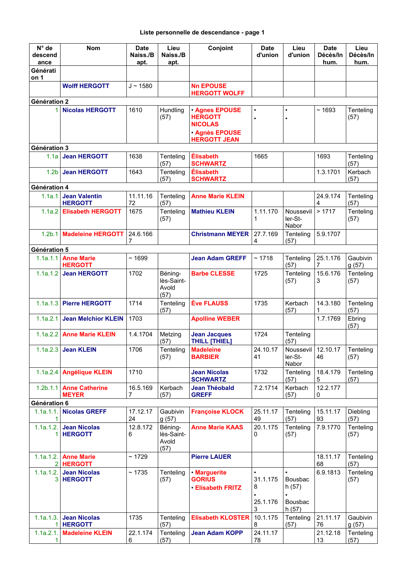| $N^{\circ}$ de<br>descend<br>ance | <b>Nom</b>                              | <b>Date</b><br>Naiss./B<br>apt. | Lieu<br>Naiss./B<br>apt.               | Conjoint                                                | <b>Date</b><br>d'union     | Lieu<br>d'union                                   | <b>Date</b><br>Décès/In<br>hum. | Lieu<br>Décès/In<br>hum. |
|-----------------------------------|-----------------------------------------|---------------------------------|----------------------------------------|---------------------------------------------------------|----------------------------|---------------------------------------------------|---------------------------------|--------------------------|
| Générati<br>on 1                  |                                         |                                 |                                        |                                                         |                            |                                                   |                                 |                          |
|                                   | <b>Wolff HERGOTT</b>                    | $J \sim 1580$                   |                                        | <b>Nn EPOUSE</b><br><b>HERGOTT WOLFF</b>                |                            |                                                   |                                 |                          |
| Génération 2                      |                                         |                                 |                                        |                                                         |                            |                                                   |                                 |                          |
| 1 <sup>1</sup>                    | <b>Nicolas HERGOTT</b>                  | 1610                            | Hundling<br>(57)                       | <b>Agnes EPOUSE</b><br><b>HERGOTT</b><br><b>NICOLAS</b> | $\bullet$<br>$\bullet$     | $\bullet$                                         | ~1693                           | Tenteling<br>(57)        |
|                                   |                                         |                                 |                                        | <b>Agnès EPOUSE</b><br><b>HERGOTT JEAN</b>              |                            |                                                   |                                 |                          |
| Génération 3                      |                                         |                                 |                                        |                                                         |                            |                                                   |                                 |                          |
| 1.1a                              | <b>Jean HERGOTT</b>                     | 1638                            | Tenteling<br>(57)                      | <b>Élisabeth</b><br><b>SCHWARTZ</b>                     | 1665                       |                                                   | 1693                            | Tenteling<br>(57)        |
| 1.2 <sub>b</sub>                  | <b>Jean HERGOTT</b>                     | 1643                            | Tenteling<br>(57)                      | <b>Élisabeth</b><br><b>SCHWARTZ</b>                     |                            |                                                   | 1.3.1701                        | Kerbach<br>(57)          |
| Génération 4                      |                                         |                                 |                                        |                                                         |                            |                                                   |                                 |                          |
| 1.1a.1                            | <b>Jean Valentin</b><br><b>HERGOTT</b>  | 11.11.16<br>72                  | Tenteling<br>(57)                      | <b>Anne Marie KLEIN</b>                                 |                            |                                                   | 24.9.174<br>4                   | Tenteling<br>(57)        |
| 1.1a.2                            | <b>Elisabeth HERGOTT</b>                | 1675                            | Tenteling<br>(57)                      | <b>Mathieu KLEIN</b>                                    | 1.11.170<br>1              | Noussevil<br>ler-St-<br>Nabor                     | >1717                           | Tenteling<br>(57)        |
| 1.2 <sub>b.1</sub>                | <b>Madeleine HERGOTT</b>                | 24.6.166<br>7                   |                                        | <b>Christmann MEYER</b>                                 | 27.7.169<br>4              | Tenteling<br>(57)                                 | 5.9.1707                        |                          |
| Génération 5                      |                                         |                                 |                                        |                                                         |                            |                                                   |                                 |                          |
| 1.1a.1.1                          | <b>Anne Marie</b><br><b>HERGOTT</b>     | ~1699                           |                                        | <b>Jean Adam GREFF</b>                                  | ~1718                      | Tenteling<br>(57)                                 | 25.1.176<br>7                   | Gaubivin<br>g(57)        |
| 1.1a.1.2                          | <b>Jean HERGOTT</b>                     | 1702                            | Béning-<br>lès-Saint-<br>Avold<br>(57) | <b>Barbe CLESSE</b>                                     | 1725                       | Tenteling<br>(57)                                 | 15.6.176<br>3                   | Tenteling<br>(57)        |
| 1.1a.1.3                          | <b>Pierre HERGOTT</b>                   | 1714                            | Tenteling<br>(57)                      | <b>Ève FLAUSS</b>                                       | 1735                       | Kerbach<br>(57)                                   | 14.3.180<br>1                   | Tenteling<br>(57)        |
| 1.1a.2.1                          | <b>Jean Melchior KLEIN</b>              | 1703                            |                                        | <b>Apolline WEBER</b>                                   |                            |                                                   | 1.7.1769                        | Ebring<br>(57)           |
| 1.1a.2.2                          | <b>Anne Marie KLEIN</b>                 | 1.4.1704                        | Metzing<br>(57)                        | <b>Jean Jacques</b><br>THILL [THIEL]                    | 1724                       | Tenteling<br>(57)                                 |                                 |                          |
|                                   | $1.1a.2.3$ Jean KLEIN                   | 1706                            | Tenteling<br>(57)                      | <b>Madeleine</b><br><b>BARBIER</b>                      | 24.10.17<br>41             | Noussevil<br>ler-St-<br>Nabor                     | 12.10.17<br>46                  | Tenteling<br>(57)        |
|                                   | 1.1a.2.4 Angélique KLEIN                | 1710                            |                                        | <b>Jean Nicolas</b><br><b>SCHWARTZ</b>                  | 1732                       | Tenteling<br>(57)                                 | 18.4.179<br>5                   | Tenteling<br>(57)        |
|                                   | 1.2b.1.1 Anne Catherine<br><b>MEYER</b> | 16.5.169<br>$\overline{7}$      | Kerbach<br>(57)                        | <b>Jean Théobald</b><br><b>GREFF</b>                    | 7.2.1714                   | Kerbach<br>(57)                                   | 12.2.177<br>0                   |                          |
| Génération 6                      |                                         |                                 |                                        |                                                         |                            |                                                   |                                 |                          |
| 1.1a.1.1.<br>1.                   | <b>Nicolas GREFF</b>                    | 17.12.17<br>24                  | Gaubivin<br>g(57)                      | <b>Françoise KLOCK</b>                                  | 25.11.17<br>49             | Tenteling<br>(57)                                 | 15.11.17<br>93                  | Diebling<br>(57)         |
| 1.1a.1.2.<br>1.                   | <b>Jean Nicolas</b><br><b>HERGOTT</b>   | 12.8.172<br>6                   | Béning-<br>lès-Saint-<br>Avold<br>(57) | <b>Anne Marie KAAS</b>                                  | 20.1.175<br>0              | Tenteling<br>(57)                                 | 7.9.1770                        | Tenteling<br>(57)        |
| 1.1a.1.2.                         | <b>Anne Marie</b><br>$2$ <b>HERGOTT</b> | ~1729                           |                                        | <b>Pierre LAUER</b>                                     |                            |                                                   | 18.11.17<br>68                  | Tenteling<br>(57)        |
| 1.1a.1.2.<br>3 <sup>1</sup>       | <b>Jean Nicolas</b><br><b>HERGOTT</b>   | ~1735                           | Tenteling<br>(57)                      | · Marguerite<br><b>GORIUS</b><br><b>Elisabeth FRITZ</b> | $\bullet$<br>31.1.175<br>8 | $\bullet$<br><b>Bousbac</b><br>h(57)<br>$\bullet$ | 6.9.1813                        | Tenteling<br>(57)        |
|                                   |                                         |                                 |                                        |                                                         | 25.1.176<br>3              | <b>Bousbac</b><br>h(57)                           |                                 |                          |
| 1.1a.1.3.                         | <b>Jean Nicolas</b><br>1 HERGOTT        | 1735                            | Tenteling<br>(57)                      | <b>Elisabeth KLOSTER</b>                                | 10.1.175<br>8              | Tenteling<br>(57)                                 | 21.11.17<br>76                  | Gaubivin<br>g(57)        |
| 1.1a.2.1.<br>1                    | <b>Madeleine KLEIN</b>                  | 22.1.174<br>6                   | Tenteling<br>(57)                      | <b>Jean Adam KOPP</b>                                   | 24.11.17<br>78             |                                                   | 21.12.18<br>13                  | Tenteling<br>(57)        |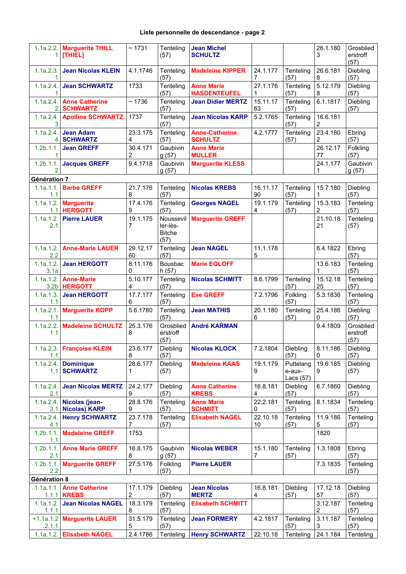## **Liste personnelle de descendance - page 2**

| 1.                    | 1.1a.2.2.   Marguerite THILL<br>[THIEL]       | ~1731                      | Tenteling<br>(57)                              | <b>Jean Michel</b><br><b>SCHULTZ</b>     |                |                                    | 26.1.180<br>3  | Grosblied<br>erstroff<br>(57) |  |
|-----------------------|-----------------------------------------------|----------------------------|------------------------------------------------|------------------------------------------|----------------|------------------------------------|----------------|-------------------------------|--|
| 1.1a.2.3.<br>1.       | <b>Jean Nicolas KLEIN</b>                     | 4.1.1746                   | Tenteling<br>(57)                              | <b>Madeleine KIPPER</b>                  | 24.1.177<br>7  | Tenteling<br>(57)                  | 26.6.181<br>8  | Diebling<br>(57)              |  |
| 1                     | 1.1a.2.4. Jean SCHWARTZ                       | 1733                       | Tenteling<br>(57)                              | <b>Anne Marie</b><br><b>HASDENTEUFEL</b> | 27.1.176<br>1  | Tenteling<br>(57)                  | 5.12.179<br>8  | Diebling<br>(57)              |  |
|                       | 1.1a.2.4. Anne Catherine<br>2 SCHWARTZ        | ~1736                      | Tenteling<br>(57)                              | <b>Jean Didier MERTZ</b>                 | 15.11.17<br>63 | Tenteling<br>(57)                  | 6.1.1817       | Diebling<br>(57)              |  |
| 3                     | 1.1a.2.4. Apolline SCHWARTZ                   | 1737                       | Tenteling<br>(57)                              | <b>Jean Nicolas KARP</b>                 | 5.2.1765       | Tenteling<br>(57)                  | 16.6.181<br>2  |                               |  |
| 1.1a.2.4.<br>4        | <b>Jean Adam</b><br><b>SCHWARTZ</b>           | 23.3.175<br>4              | Tenteling<br>(57)                              | <b>Anne-Catherine</b><br><b>SCHULTZ</b>  | 4.2.1777       | Tenteling<br>(57)                  | 23.4.180<br>2  | Ebring<br>(57)                |  |
| $1.2b.1.1$ .<br>1.    | <b>Jean GREFF</b>                             | 30.4.171<br>$\overline{2}$ | Gaubivin<br>g(57)                              | <b>Anne Marie</b><br><b>MULLER</b>       |                |                                    | 26.12.17<br>77 | Folkling<br>(57)              |  |
| $1.2b.1.1$ .<br>2     | <b>Jacques GREFF</b>                          | 9.4.1718                   | Gaubivin<br>g(57)                              | <b>Marguerite KLESS</b>                  |                |                                    | 24.1.177<br>1  | Gaubivin<br>g(57)             |  |
| Génération 7          |                                               |                            |                                                |                                          |                |                                    |                |                               |  |
| 1.1a.1.1.<br>1.1      | <b>Barbe GREFF</b>                            | 21.7.176<br>8              | Tenteling<br>(57)                              | <b>Nicolas KREBS</b>                     | 16.11.17<br>90 | Tenteling<br>(57)                  | 15.7.180<br>1  | Diebling<br>(57)              |  |
| 1.1a.1.2.             | <b>Marguerite</b><br>1.1 HERGOTT              | 17.4.176<br>9              | Tenteling<br>(57)                              | <b>Georges NAGEL</b>                     | 19.1.179<br>4  | Tenteling<br>(57)                  | 15.3.183<br>2  | Tenteling<br>(57)             |  |
| 2.1                   | 1.1a.1.2. Pierre LAUER                        | 19.1.175<br>7              | Noussevil<br>ler-lès-<br><b>Bitche</b><br>(57) | <b>Marguerite GREFF</b>                  |                |                                    | 21.10.18<br>21 | Tenteling<br>(57)             |  |
| 2.2                   | 1.1a.1.2. Anne-Marie LAUER                    | 29.12.17<br>60             | Tenteling<br>(57)                              | <b>Jean NAGEL</b>                        | 11.1.178<br>5  |                                    | 6.4.1822       | Ebring<br>(57)                |  |
| 1.1a.1.2.<br>3.1a     | <b>Jean HERGOTT</b>                           | 8.11.176<br>0              | Bousbac<br>h(57)                               | <b>Marie EGLOFF</b>                      |                |                                    | 13.6.183<br>1  | Tenteling<br>(57)             |  |
| 1.1a.1.2.             | <b>Anne-Marie</b><br>3.2b HERGOTT             | 5.10.177<br>4              | Tenteling<br>(57)                              | <b>Nicolas SCHMITT</b>                   | 8.6.1799       | Tenteling<br>(57)                  | 15.12.18<br>25 | Tenteling<br>(57)             |  |
| 1.1a.1.3.<br>1.1      | <b>Jean HERGOTT</b>                           | 17.7.177<br>6              | Tenteling<br>(57)                              | <b>Eve GREFF</b>                         | 7.2.1796       | Folkling<br>(57)                   | 5.3.1836       | Tenteling<br>(57)             |  |
| 1.1a.2.1.<br>1.1      | <b>Marguerite KOPP</b>                        | 5.6.1780                   | Tenteling<br>(57)                              | <b>Jean MATHIS</b>                       | 20.1.180<br>6  | Tenteling<br>(57)                  | 25.4.186<br>0  | Diebling<br>(57)              |  |
| 1.1a.2.2.<br>1.1      | <b>Madeleine SCHULTZ</b>                      | 25.3.176<br>8              | Grosblied<br>erstroff<br>(57)                  | <b>André KARMAN</b>                      |                |                                    | 9.4.1809       | Grosblied<br>erstroff<br>(57) |  |
| 1.1                   | 1.1a.2.3. Françoise KLEIN                     | 23.6.177<br>8              | Diebling<br>(57)                               | Nicolas KLOCK                            | 7.2.1804       | Diebling<br>(57)                   | 8.11.186<br>0  | Diebling<br>(57)              |  |
| 1.1a.2.4.<br>1.1      | <b>Dominique</b><br><b>SCHWARTZ</b>           | 28.6.177<br>1              | Diebling<br>(57)                               | <b>Madeleine KAAS</b>                    | 19.1.179<br>9  | Puttelang<br>e-aux-<br>Lacs $(57)$ | 19.6.185<br>9  | Diebling<br>(57)              |  |
| 1.1a.2.4.<br>2.1      | <b>Jean Nicolas MERTZ</b>                     | 24.2.177<br>9              | Diebling<br>(57)                               | <b>Anne Catherine</b><br><b>KREBS</b>    | 16.8.181<br>4  | Diebling<br>(57)                   | 6.7.1860       | Diebling<br>(57)              |  |
|                       | 1.1a.2.4. Nicolas (jean-<br>3.1 Nicolas) KARP | 28.8.176<br>9              | Tenteling<br>(57)                              | <b>Anne Marie</b><br><b>SCHMITT</b>      | 22.2.181<br>0  | Tenteling<br>(57)                  | 8.1.1834       | Tenteling<br>(57)             |  |
| 1.1a.2.4.<br>4.1      | <b>Henry SCHWARTZ</b>                         | 23.7.178<br>$\overline{7}$ | Tenteling<br>(57)                              | <b>Elisabeth NAGEL</b>                   | 22.10.18<br>10 | Tenteling<br>(57)                  | 11.9.186<br>5  | Tenteling<br>(57)             |  |
| 1.1                   | 1.2b.1.1. Madeleine GREFF                     | 1753                       |                                                |                                          |                |                                    | 1820           |                               |  |
| 2.1                   | 1.2b.1.1.   Anne Marie GREFF                  | 16.8.175<br>8              | Gaubivin<br>g(57)                              | <b>Nicolas WEBER</b>                     | 15.1.180<br>7  | Tenteling<br>(57)                  | 1.3.1808       | Ebring<br>(57)                |  |
| $1.2b.1.1$ .<br>2.2   | <b>Marguerite GREFF</b>                       | 27.5.176<br>1              | Folkling<br>(57)                               | <b>Pierre LAUER</b>                      |                |                                    | 7.3.1835       | Tenteling<br>(57)             |  |
| Génération 8          |                                               |                            |                                                |                                          |                |                                    |                |                               |  |
| 1.1a.1.1.             | <b>Anne Catherine</b><br>$1.1.1$ KREBS        | 17.1.179<br>$\overline{2}$ | Diebling<br>(57)                               | <b>Jean Nicolas</b><br><b>MERTZ</b>      | 16.8.181<br>4  | Diebling<br>(57)                   | 17.12.18<br>57 | Diebling<br>(57)              |  |
| 1.1a.1.2.<br>1.1.1    | <b>Jean Nicolas NAGEL</b>                     | 18.3.179<br>8              | Tenteling<br>(57)                              | <b>Elisabeth SCHMITT</b>                 |                |                                    | 3.12.187<br>2  | Tenteling<br>(57)             |  |
| $+1.1a.1.2$<br>.2.1.1 | <b>Marguerite LAUER</b>                       | 31.5.179<br>5              | Tenteling<br>(57)                              | <b>Jean FORMERY</b>                      | 4.2.1817       | Tenteling<br>(57)                  | 3.11.187<br>3  | Tenteling<br>(57)             |  |
|                       | 1.1a.1.2. Elisabeth NAGEL                     | 2.4.1786                   | Tenteling                                      | <b>Henry SCHWARTZ</b>                    | 22.10.18       | Tenteling                          | 24.1.184       | Tenteling                     |  |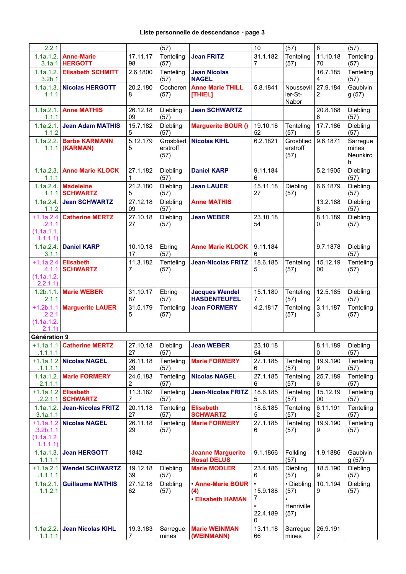| 2.2.1                                             |                                          |                            | (57)                          |                                                         | 10                             | (57)                                     | 8                       | (57)                               |
|---------------------------------------------------|------------------------------------------|----------------------------|-------------------------------|---------------------------------------------------------|--------------------------------|------------------------------------------|-------------------------|------------------------------------|
| 3.1a.1                                            | 1.1a.1.2.   Anne-Marie<br><b>HERGOTT</b> | 17.11.17<br>98             | Tenteling<br>(57)             | <b>Jean FRITZ</b>                                       | 31.1.182<br>7                  | Tenteling<br>(57)                        | 11.10.18<br>70          | Tenteling<br>(57)                  |
| 1.1a.1.2.<br>3.2 <sub>b.1</sub>                   | <b>Elisabeth SCHMITT</b>                 | 2.6.1800                   | Tenteling<br>(57)             | <b>Jean Nicolas</b><br><b>NAGEL</b>                     |                                |                                          | 16.7.185<br>4           | Tenteling<br>(57)                  |
| 1.1a.1.3.<br>1.1.1                                | <b>Nicolas HERGOTT</b>                   | 20.2.180<br>8              | Cocheren<br>(57)              | <b>Anne Marie THILL</b><br>[THIEL]                      | 5.8.1841                       | Noussevil<br>ler-St-<br>Nabor            | 27.9.184<br>2           | Gaubivin<br>g(57)                  |
| 1.1a.2.1.<br>1.1.1                                | <b>Anne MATHIS</b>                       | 26.12.18<br>09             | Diebling<br>(57)              | <b>Jean SCHWARTZ</b>                                    |                                |                                          | 20.8.188<br>6           | Diebling<br>(57)                   |
| 1.1a.2.1.<br>1.1.2                                | <b>Jean Adam MATHIS</b>                  | 15.7.182<br>5              | Diebling<br>(57)              | <b>Marguerite BOUR ()</b>                               | 19.10.18<br>52                 | Tenteling<br>(57)                        | 17.7.186<br>5           | Diebling<br>(57)                   |
| 1.1a.2.2.<br>1.1.1                                | <b>Barbe KARMANN</b><br>(KARMAN)         | 5.12.179<br>5              | Grosblied<br>erstroff<br>(57) | <b>Nicolas KIHL</b>                                     | 6.2.1821                       | Grosblied<br>erstroff<br>(57)            | 9.6.1871                | Sarregue<br>mines<br>Neunkirc<br>h |
| 1.1a.2.3.<br>1.1.1                                | <b>Anne Marie KLOCK</b>                  | 27.1.182<br>1              | Diebling<br>(57)              | <b>Daniel KARP</b>                                      | 9.11.184<br>6                  |                                          | 5.2.1905                | Diebling<br>(57)                   |
| 1.1a.2.4.                                         | <b>Madeleine</b><br>1.1.1 SCHWARTZ       | 21.2.180<br>5              | Diebling<br>(57)              | <b>Jean LAUER</b>                                       | 15.11.18<br>27                 | Diebling<br>(57)                         | 6.6.1879                | Diebling<br>(57)                   |
| 1.1a.2.4.<br>1.1.2                                | <b>Jean SCHWARTZ</b>                     | 27.12.18<br>09             | Diebling<br>(57)              | <b>Anne MATHIS</b>                                      |                                |                                          | 13.2.188<br>8           | Diebling<br>(57)                   |
| $+1.1a.2.4$<br>.2.1.1<br>(1.1a.1.1.<br>1.1.1.1    | <b>Catherine MERTZ</b>                   | 27.10.18<br>27             | Diebling<br>(57)              | <b>Jean WEBER</b>                                       | 23.10.18<br>54                 |                                          | 8.11.189<br>0           | Diebling<br>(57)                   |
| 1.1a.2.4.<br>3.1.1                                | <b>Daniel KARP</b>                       | 10.10.18<br>17             | Ebring<br>(57)                | <b>Anne Marie KLOCK</b>                                 | 9.11.184<br>6                  |                                          | 9.7.1878                | Diebling<br>(57)                   |
| $+1.1a.2.4$<br>.4.1.1<br>(1.1a.1.2.<br>2.2.1.1)   | <b>Elisabeth</b><br><b>SCHWARTZ</b>      | 11.3.182<br>7              | Tenteling<br>(57)             | <b>Jean-Nicolas FRITZ</b>                               | 18.6.185<br>5                  | Tenteling<br>(57)                        | 15.12.19<br>00          | Tenteling<br>(57)                  |
| 1.2b.1.1.<br>2.1.1                                | <b>Marie WEBER</b>                       | 31.10.17<br>87             | Ebring<br>(57)                | <b>Jacques Wendel</b><br><b>HASDENTEUFEL</b>            | 15.1.180<br>7                  | Tenteling<br>(57)                        | 12.5.185<br>2           | Diebling<br>(57)                   |
| $+1.2b.1.1$<br>.2.2.1<br>(1.1a.1.2.<br>2.1.1)     | <b>Marguerite LAUER</b>                  | 31.5.179<br>5              | Tenteling<br>(57)             | <b>Jean FORMERY</b>                                     | 4.2.1817                       | Tenteling<br>(57)                        | 3.11.187<br>3           | Tenteling<br>(57)                  |
| Génération 9                                      |                                          |                            |                               |                                                         |                                |                                          |                         |                                    |
| .1.1.1.1                                          | +1.1a.1.1   Catherine MERTZ              | 27.10.18<br>27             | Diebling<br>(57)              | <b>Jean WEBER</b>                                       | 23.10.18<br>54                 |                                          | 8.11.189<br>$\mathbf 0$ | Diebling<br>(57)                   |
| $+1.1a.1.2$<br>.1.1.1.1                           | <b>Nicolas NAGEL</b>                     | 26.11.18<br>29             | Tenteling<br>(57)             | <b>Marie FORMERY</b>                                    | 27.1.185<br>6                  | Tenteling<br>(57)                        | 19.9.190<br>9           | Tenteling<br>(57)                  |
| 1.1a.1.2.<br>2.1.1.1                              | <b>Marie FORMERY</b>                     | 24.6.183<br>2              | Tenteling<br>(57)             | <b>Nicolas NAGEL</b>                                    | 27.1.185<br>6                  | Tenteling<br>(57)                        | 25.7.189<br>6           | Tenteling<br>(57)                  |
| $+1.1a.1.2$<br>.2.2.1.1                           | <b>Elisabeth</b><br><b>SCHWARTZ</b>      | 11.3.182<br>7              | Tenteling<br>(57)             | <b>Jean-Nicolas FRITZ</b>                               | 18.6.185<br>5                  | Tenteling<br>(57)                        | 15.12.19<br>00          | Tenteling<br>(57)                  |
| 1.1a.1.2.<br>3.1a.1.1                             | <b>Jean-Nicolas FRITZ</b>                | 20.11.18<br>27             | Tenteling<br>(57)             | <b>Elisabeth</b><br><b>SCHWARTZ</b>                     | 18.6.185<br>5                  | Tenteling<br>(57)                        | 6.11.191<br>2           | Tenteling<br>(57)                  |
| $+1.1a.1.2$<br>.3.2b.1.1<br>(1.1a.1.2.<br>1.1.1.1 | <b>Nicolas NAGEL</b>                     | 26.11.18<br>29             | Tenteling<br>(57)             | <b>Marie FORMERY</b>                                    | 27.1.185<br>6                  | Tenteling<br>(57)                        | 19.9.190<br>9           | Tenteling<br>(57)                  |
| 1.1a.1.3.<br>1.1.1.1                              | <b>Jean HERGOTT</b>                      | 1842                       |                               | <b>Jeanne Marguerite</b><br><b>Rosal DELUS</b>          | 9.1.1866                       | Folkling<br>(57)                         | 1.9.1886                | Gaubivin<br>g(57)                  |
| $+1.1a.2.1$<br>.1.1.1.1                           | <b>Wendel SCHWARTZ</b>                   | 19.12.18<br>39             | Diebling<br>(57)              | <b>Marie MODLER</b>                                     | 23.4.186<br>6                  | Diebling<br>(57)                         | 18.5.190<br>9           | Diebling<br>(57)                   |
| 1.1a.2.1.<br>1.1.2.1                              | <b>Guillaume MATHIS</b>                  | 27.12.18<br>62             | Diebling<br>(57)              | <b>Anne-Marie BOUR</b><br>(4)<br><b>Elisabeth HAMAN</b> | 15.9.188<br>7<br>22.4.189<br>0 | • Diebling<br>(57)<br>Henriville<br>(57) | 10.1.194<br>9           | Diebling<br>(57)                   |
| 1.1a.2.2.<br>1.1.1.1                              | <b>Jean Nicolas KIHL</b>                 | 19.3.183<br>$\overline{7}$ | Sarregue<br>mines             | <b>Marie WEINMAN</b><br>(WEINMANN)                      | 13.11.18<br>66                 | Sarregue<br>mines                        | 26.9.191<br>7           |                                    |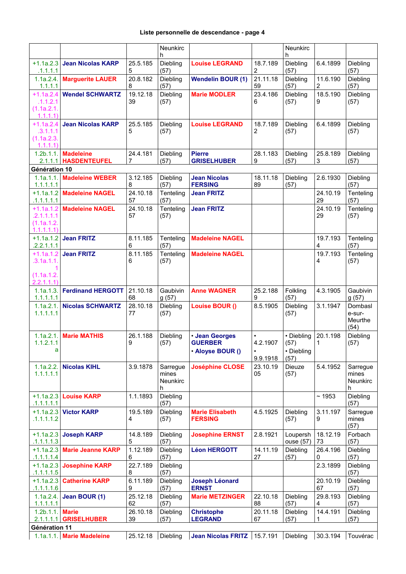|                            |                                         |                | <b>Neunkirc</b><br>h |                                          |                       | Neunkirc<br>h         |                            |                   |
|----------------------------|-----------------------------------------|----------------|----------------------|------------------------------------------|-----------------------|-----------------------|----------------------------|-------------------|
| $+1.1a.2.3$                | <b>Jean Nicolas KARP</b>                | 25.5.185       | Diebling             | <b>Louise LEGRAND</b>                    | 18.7.189              | Diebling              | 6.4.1899                   | Diebling          |
| .1.1.1.1<br>1.1a.2.4.      | <b>Marguerite LAUER</b>                 | 5<br>20.8.182  | (57)<br>Diebling     | <b>Wendelin BOUR (1)</b>                 | 2<br>21.11.18         | (57)<br>Diebling      | 11.6.190                   | (57)<br>Diebling  |
| 1.1.1.1<br>$+1.1a.2.4$     | <b>Wendel SCHWARTZ</b>                  | 8<br>19.12.18  | (57)<br>Diebling     | <b>Marie MODLER</b>                      | 59<br>23.4.186        | (57)<br>Diebling      | $\overline{2}$<br>18.5.190 | (57)<br>Diebling  |
| .1.1.2.1                   |                                         | 39             | (57)                 |                                          | 6                     | (57)                  | 9                          | (57)              |
| (1.1a.2.1.<br>1.1.1.1      |                                         |                |                      |                                          |                       |                       |                            |                   |
| $+1.1a.2.4$<br>.3.1.1.1    | <b>Jean Nicolas KARP</b>                | 25.5.185<br>5  | Diebling<br>(57)     | <b>Louise LEGRAND</b>                    | 18.7.189<br>2         | Diebling<br>(57)      | 6.4.1899                   | Diebling<br>(57)  |
| (1.1a.2.3.<br>1.1.1.1      |                                         |                |                      |                                          |                       |                       |                            |                   |
| 1.2b.1.1.<br>2.1.1.1       | <b>Madeleine</b><br><b>HASDENTEUFEL</b> | 24.4.181<br>7  | Diebling<br>(57)     | <b>Pierre</b><br><b>GRISELHUBER</b>      | 28.1.183<br>9         | Diebling<br>(57)      | 25.8.189<br>3              | Diebling<br>(57)  |
| Génération 10              |                                         |                |                      |                                          |                       |                       |                            |                   |
| 1.1a.1.1.                  | <b>Madeleine WEBER</b>                  | 3.12.185       | Diebling             | <b>Jean Nicolas</b>                      | 18.11.18              | Diebling              | 2.6.1930                   | Diebling          |
| 1.1.1.1.1<br>$+1.1a.1.2$   | <b>Madeleine NAGEL</b>                  | 8<br>24.10.18  | (57)<br>Tenteling    | <b>FERSING</b><br><b>Jean FRITZ</b>      | 89                    | (57)                  | 24.10.19                   | (57)<br>Tenteling |
| .1.1.1.1.1                 |                                         | 57             | (57)                 |                                          |                       |                       | 29                         | (57)              |
| $+1.1a.1.2$<br>.2.1.1.1.1  | <b>Madeleine NAGEL</b>                  | 24.10.18<br>57 | Tenteling<br>(57)    | <b>Jean FRITZ</b>                        |                       |                       | 24.10.19<br>29             | Tenteling<br>(57) |
| (1.1a.1.2.<br>1.1.1.1.1    |                                         |                |                      |                                          |                       |                       |                            |                   |
| $+1.1a.1.2$<br>.2.2.1.1.1  | <b>Jean FRITZ</b>                       | 8.11.185<br>6  | Tenteling<br>(57)    | <b>Madeleine NAGEL</b>                   |                       |                       | 19.7.193<br>4              | Tenteling<br>(57) |
| $+1.1a.1.2$<br>.3.1a.1.1.  | <b>Jean FRITZ</b>                       | 8.11.185<br>6  | Tenteling<br>(57)    | <b>Madeleine NAGEL</b>                   |                       |                       | 19.7.193<br>4              | Tenteling<br>(57) |
|                            |                                         |                |                      |                                          |                       |                       |                            |                   |
| (1.1a.1.2.<br>2.2.1.1.1)   |                                         |                |                      |                                          |                       |                       |                            |                   |
| 1.1a.1.3.<br>1.1.1.1.1     | <b>Ferdinand HERGOTT</b>                | 21.10.18<br>68 | Gaubivin<br>g(57)    | <b>Anne WAGNER</b>                       | 25.2.188<br>9         | Folkling<br>(57)      | 4.3.1905                   | Gaubivin<br>g(57) |
| 1.1a.2.1.                  | <b>Nicolas SCHWARTZ</b>                 | 28.10.18       | Diebling             | Louise BOUR ()                           | 8.5.1905              | Diebling              | 3.1.1947                   | Dombasl           |
| 1.1.1.1.1                  |                                         | 77             | (57)                 |                                          |                       | (57)                  |                            | e-sur-<br>Meurthe |
| 1.1a.2.1.                  | <b>Marie MATHIS</b>                     | 26.1.188       |                      |                                          |                       |                       | 20.1.198                   | (54)<br>Diebling  |
| 1.1.2.1.1                  |                                         | 9              | Diebling<br>(57)     | <b>· Jean Georges</b><br><b>GUERBER</b>  | 4.2.1907              | • Diebling<br>(57)    | 1                          | (57)              |
| a                          |                                         |                |                      | · Aloyse BOUR ()                         | $\bullet$<br>9.9.1918 | • Diebling<br>(57)    |                            |                   |
| 1.1a.2.2.                  | <b>Nicolas KIHL</b>                     | 3.9.1878       | Sarregue             | <b>Joséphine CLOSE</b>                   | 23.10.19              | Dieuze                | 5.4.1952                   | Sarregue          |
| 1.1.1.1.1                  |                                         |                | mines<br>Neunkirc    |                                          | 05                    | (57)                  |                            | mines<br>Neunkirc |
|                            |                                         |                | h                    |                                          |                       |                       |                            | h                 |
| .1.1.1.1.1                 | $+1.1a.2.3$ Louise KARP                 | 1.1.1893       | Diebling<br>(57)     |                                          |                       |                       | ~1953                      | Diebling<br>(57)  |
| .1.1.1.1.2                 | +1.1a.2.3 Victor KARP                   | 19.5.189<br>4  | Diebling<br>(57)     | <b>Marie Elisabeth</b><br><b>FERSING</b> | 4.5.1925              | Diebling<br>(57)      | 3.11.197<br>9              | Sarregue<br>mines |
|                            |                                         |                |                      |                                          |                       |                       |                            | (57)              |
| $+1.1a.2.3$<br>.1.1.1.1.3  | <b>Joseph KARP</b>                      | 14.8.189<br>5  | Diebling<br>(57)     | <b>Josephine ERNST</b>                   | 2.8.1921              | Loupersh<br>ouse (57) | 18.12.19<br>73             | Forbach<br>(57)   |
|                            | +1.1a.2.3 Marie Jeanne KARP             | 1.12.189       | Diebling             | <b>Léon HERGOTT</b>                      | 14.11.19              | Diebling              | 26.4.196<br>0              | Diebling          |
| .1.1.1.1.4<br>$+1.1a.2.3$  | <b>Josephine KARP</b>                   | 6<br>22.7.189  | (57)<br>Diebling     |                                          | 27                    | (57)                  | 2.3.1899                   | (57)<br>Diebling  |
| .1.1.1.1.5<br>$+1.1a.2.3$  | <b>Catherine KARP</b>                   | 8<br>6.11.189  | (57)<br>Diebling     | <b>Joseph Léonard</b>                    |                       |                       | 20.10.19                   | (57)<br>Diebling  |
| .1.1.1.1.6                 |                                         | 9              | (57)                 | <b>ERNST</b>                             |                       |                       | 67                         | (57)              |
| 1.1a.2.4.<br>1.1.1.1.1     | Jean BOUR (1)                           | 25.12.18<br>62 | Diebling<br>(57)     | <b>Marie METZINGER</b>                   | 22.10.18<br>88        | Diebling<br>(57)      | 29.8.193<br>4              | Diebling<br>(57)  |
| 1.2b.1.1.                  | <b>Marie</b><br><b>GRISELHUBER</b>      | 26.10.18<br>39 | Diebling<br>(57)     | <b>Christophe</b><br><b>LEGRAND</b>      | 20.11.18<br>67        | Diebling<br>(57)      | 14.4.191<br>1              | Diebling<br>(57)  |
| 2.1.1.1.1<br>Génération 11 |                                         |                |                      |                                          |                       |                       |                            |                   |
| 1.1a.1.1.                  | <b>Marie Madeleine</b>                  | 25.12.18       | Diebling             | <b>Jean Nicolas FRITZ</b>                | 15.7.191              | Diebling              | 30.3.194                   | Touvérac          |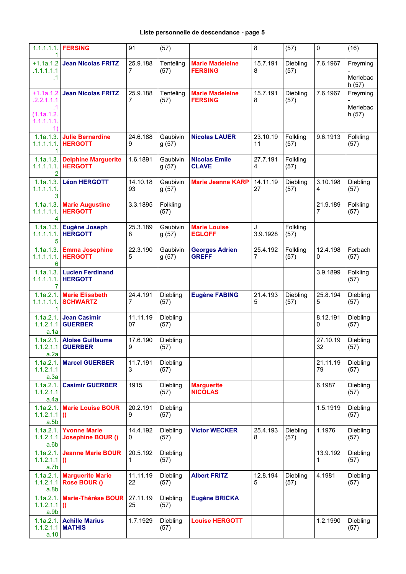| 1.1.1.1.1.                          | <b>FERSING</b>                                        | 91             | (57)              |                                          | 8              | (57)             | 0              | (16)              |
|-------------------------------------|-------------------------------------------------------|----------------|-------------------|------------------------------------------|----------------|------------------|----------------|-------------------|
| $+1.1a.1.2$<br>.1.1.1.1.1           | <b>Jean Nicolas FRITZ</b>                             | 25.9.188<br>7  | Tenteling<br>(57) | <b>Marie Madeleine</b><br><b>FERSING</b> | 15.7.191<br>8  | Diebling<br>(57) | 7.6.1967       | Freyming          |
| $\mathbf{.1}$                       |                                                       |                |                   |                                          |                |                  |                | Merlebac<br>h(57) |
| $+1.1a.1.2$<br>.2.2.1.1.1           | <b>Jean Nicolas FRITZ</b>                             | 25.9.188<br>7  | Tenteling<br>(57) | <b>Marie Madeleine</b><br><b>FERSING</b> | 15.7.191<br>8  | Diebling<br>(57) | 7.6.1967       | Freyming          |
| (1.1a.1.2.<br>1.1.1.1.1.            |                                                       |                |                   |                                          |                |                  |                | Merlebac<br>h(57) |
| 1)<br>1.1a.1.3.<br>1                | <b>Julie Bernardine</b><br>1.1.1.1.1.   HERGOTT       | 24.6.188<br>9  | Gaubivin<br>g(57) | <b>Nicolas LAUER</b>                     | 23.10.19<br>11 | Folkling<br>(57) | 9.6.1913       | Folkling<br>(57)  |
| 1.1a.1.3.<br>1.1.1.1.1.1<br>2       | <b>Delphine Marguerite</b><br><b>HERGOTT</b>          | 1.6.1891       | Gaubivin<br>g(57) | <b>Nicolas Emile</b><br><b>CLAVE</b>     | 27.7.191<br>4  | Folkling<br>(57) |                |                   |
| 1.1a.1.3.<br>1.1.1.1.1.<br>3        | <b>Léon HERGOTT</b>                                   | 14.10.18<br>93 | Gaubivin<br>g(57) | <b>Marie Jeanne KARP</b>                 | 14.11.19<br>27 | Diebling<br>(57) | 3.10.198<br>4  | Diebling<br>(57)  |
| 1.1.1.1.1.<br>4                     | 1.1a.1.3.   Marie Augustine<br><b>HERGOTT</b>         | 3.3.1895       | Folkling<br>(57)  |                                          |                |                  | 21.9.189<br>7  | Folkling<br>(57)  |
| 1.1a.1.3.<br>1.1.1.1.1.1<br>5       | <b>Eugène Joseph</b><br><b>HERGOTT</b>                | 25.3.189<br>8  | Gaubivin<br>g(57) | <b>Marie Louise</b><br><b>EGLOFF</b>     | J<br>3.9.1928  | Folkling<br>(57) |                |                   |
| 1.1.1.1.1.1<br>6                    | 1.1a.1.3. Emma Josephine<br><b>HERGOTT</b>            | 22.3.190<br>5  | Gaubivin<br>g(57) | <b>Georges Adrien</b><br><b>GREFF</b>    | 25.4.192<br>7  | Folkling<br>(57) | 12.4.198<br>0  | Forbach<br>(57)   |
| 1.1a.1.3.<br>1.1.1.1.1.1<br>7       | <b>Lucien Ferdinand</b><br><b>HERGOTT</b>             |                |                   |                                          |                |                  | 3.9.1899       | Folkling<br>(57)  |
| 1.1a.2.1.<br>1.1.1.1.1.             | <b>Marie Elisabeth</b><br><b>SCHWARTZ</b>             | 24.4.191<br>7  | Diebling<br>(57)  | <b>Eugène FABING</b>                     | 21.4.193<br>5  | Diebling<br>(57) | 25.8.194<br>5  | Diebling<br>(57)  |
| 1.1a.2.1.<br>1.1.2.1.1<br>a.1a      | <b>Jean Casimir</b><br><b>GUERBER</b>                 | 11.11.19<br>07 | Diebling<br>(57)  |                                          |                |                  | 8.12.191<br>0  | Diebling<br>(57)  |
| 1.1.2.1.1<br>a.2a                   | 1.1a.2.1. Aloise Guillaume<br><b>GUERBER</b>          | 17.6.190<br>9  | Diebling<br>(57)  |                                          |                |                  | 27.10.19<br>32 | Diebling<br>(57)  |
| 1.1a.2.1.<br>1.1.2.1.1<br>a.3a      | <b>Marcel GUERBER</b>                                 | 11.7.191<br>3  | Diebling<br>(57)  |                                          |                |                  | 21.11.19<br>79 | Diebling<br>(57)  |
| 1.1a.2.1.<br>1.1.2.1.1<br>a.4a      | <b>Casimir GUERBER</b>                                | 1915           | Diebling<br>(57)  | <b>Marguerite</b><br><b>NICOLAS</b>      |                |                  | 6.1987         | Diebling<br>(57)  |
| 1.1a.2.1.<br>$1.1.2.1.1$ ()<br>a.5b | <b>Marie Louise BOUR</b>                              | 20.2.191<br>9  | Diebling<br>(57)  |                                          |                |                  | 1.5.1919       | Diebling<br>(57)  |
| a.6b                                | 1.1a.2.1. Yvonne Marie<br>1.1.2.1.1 Josephine BOUR () | 14.4.192<br>0  | Diebling<br>(57)  | <b>Victor WECKER</b>                     | 25.4.193<br>8  | Diebling<br>(57) | 1.1976         | Diebling<br>(57)  |
| $1.1.2.1.1$ ()<br>a.7b              | 1.1a.2.1. Jeanne Marie BOUR                           | 20.5.192<br>1. | Diebling<br>(57)  |                                          |                |                  | 13.9.192<br>1  | Diebling<br>(57)  |
| a.8b                                | 1.1a.2.1. Marguerite Marie<br>1.1.2.1.1 Rose BOUR ()  | 11.11.19<br>22 | Diebling<br>(57)  | <b>Albert FRITZ</b>                      | 12.8.194<br>5  | Diebling<br>(57) | 4.1981         | Diebling<br>(57)  |
| 1.1a.2.1.<br>$1.1.2.1.1$ ()<br>a.9b | <b>Marie-Thérèse BOUR</b>                             | 27.11.19<br>25 | Diebling<br>(57)  | <b>Eugène BRICKA</b>                     |                |                  |                |                   |
| a.10                                | 1.1a.2.1. Achille Marius<br>$1.1.2.1.1$ MATHIS        | 1.7.1929       | Diebling<br>(57)  | <b>Louise HERGOTT</b>                    |                |                  | 1.2.1990       | Diebling<br>(57)  |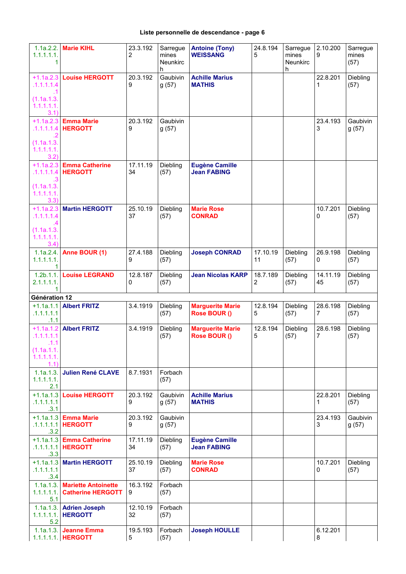## **Liste personnelle de descendance - page 6**

| 1.1a.2.2.<br>1.1.1.1.1.<br>1                         | <b>Marie KIHL</b>                                      | 23.3.192<br>2  | Sarregue<br>mines<br><b>Neunkirc</b><br>h | <b>Antoine (Tony)</b><br><b>WEISSANG</b>    | 24.8.194<br>5              | Sarregue<br>mines<br><b>Neunkirc</b><br>h | 2.10.200<br>9  | Sarregue<br>mines<br>(57) |
|------------------------------------------------------|--------------------------------------------------------|----------------|-------------------------------------------|---------------------------------------------|----------------------------|-------------------------------------------|----------------|---------------------------|
| $+1.1a.2.3$<br>.1.1.1.1.4<br>$\cdot$ 1<br>(1.1a.1.3. | <b>Louise HERGOTT</b>                                  | 20.3.192<br>9  | Gaubivin<br>g(57)                         | <b>Achille Marius</b><br><b>MATHIS</b>      |                            |                                           | 22.8.201<br>1  | Diebling<br>(57)          |
| 1.1.1.1.1.<br>3.1)<br>$+1.1a.2.3$                    | <b>Emma Marie</b>                                      | 20.3.192       | Gaubivin                                  |                                             |                            |                                           | 23.4.193       | Gaubivin                  |
| .1.1.1.1.4<br>$\overline{2}$                         | <b>HERGOTT</b>                                         | 9              | g(57)                                     |                                             |                            |                                           | 3              | g(57)                     |
| (1.1a.1.3.<br>1.1.1.1.1.<br>3.2)                     |                                                        |                |                                           |                                             |                            |                                           |                |                           |
| $+1.1a.2.3$<br>.1.1.1.1.4                            | <b>Emma Catherine</b><br><b>HERGOTT</b>                | 17.11.19<br>34 | Diebling<br>(57)                          | <b>Eugène Camille</b><br><b>Jean FABING</b> |                            |                                           |                |                           |
| (1.1a.1.3.<br>1.1.1.1.1.<br>3.3)                     |                                                        |                |                                           |                                             |                            |                                           |                |                           |
| $+1.1a.2.3$<br>.1.1.1.1.4<br>.4                      | <b>Martin HERGOTT</b>                                  | 25.10.19<br>37 | Diebling<br>(57)                          | <b>Marie Rose</b><br><b>CONRAD</b>          |                            |                                           | 10.7.201<br>0  | Diebling<br>(57)          |
| (1.1a.1.3.<br>1.1.1.1.1.<br>3.4)                     |                                                        |                |                                           |                                             |                            |                                           |                |                           |
| 1.1a.2.4.<br>1.1.1.1.1.1.<br>1                       | Anne BOUR (1)                                          | 27.4.188<br>9  | Diebling<br>(57)                          | <b>Joseph CONRAD</b>                        | 17.10.19<br>11             | Diebling<br>(57)                          | 26.9.198<br>0  | Diebling<br>(57)          |
| 1.2b.1.1.<br>2.1.1.1.1.<br>1                         | <b>Louise LEGRAND</b>                                  | 12.8.187<br>0  | Diebling<br>(57)                          | <b>Jean Nicolas KARP</b>                    | 18.7.189<br>$\overline{2}$ | Diebling<br>(57)                          | 14.11.19<br>45 | Diebling<br>(57)          |
| Génération 12                                        |                                                        |                |                                           |                                             |                            |                                           |                |                           |
| $+1.1a.1.1$<br>.1.1.1.1.1<br>.1.1                    | <b>Albert FRITZ</b>                                    | 3.4.1919       | Diebling<br>(57)                          | <b>Marguerite Marie</b><br>Rose BOUR ()     | 12.8.194<br>5              | Diebling<br>(57)                          | 28.6.198<br>7  | Diebling<br>(57)          |
| $+1.1a.1.2$<br>.1.1.1.1.1<br>.1.1<br>(1.1a.1.1.      | <b>Albert FRITZ</b>                                    | 3.4.1919       | Diebling<br>(57)                          | <b>Marguerite Marie</b><br>Rose BOUR ()     | 12.8.194<br>5              | Diebling<br>(57)                          | 28.6.198<br>7  | Diebling<br>(57)          |
| 1.1.1.1.1.<br>1.1)<br>1.1a.1.3.                      | <b>Julien René CLAVE</b>                               | 8.7.1931       | Forbach                                   |                                             |                            |                                           |                |                           |
| 1.1.1.1.1.<br>2.1                                    |                                                        |                | (57)                                      |                                             |                            |                                           |                |                           |
| .1.1.1.1.1<br>.3.1                                   | +1.1a.1.3 Louise HERGOTT                               | 20.3.192<br>9  | Gaubivin<br>g(57)                         | <b>Achille Marius</b><br><b>MATHIS</b>      |                            |                                           | 22.8.201<br>1  | Diebling<br>(57)          |
| .3.2                                                 | $+1.1a.1.3$ Emma Marie<br>$.1.1.1.1.1$   HERGOTT       | 20.3.192<br>9  | Gaubivin<br>g(57)                         |                                             |                            |                                           | 23.4.193<br>3  | Gaubivin<br>g(57)         |
| .1.1.1.1.1<br>.3.3                                   | $+1.1a.1.3$ Emma Catherine<br><b>HERGOTT</b>           | 17.11.19<br>34 | Diebling<br>(57)                          | <b>Eugène Camille</b><br><b>Jean FABING</b> |                            |                                           |                |                           |
| .1.1.1.1.1<br>.3.4                                   | +1.1a.1.3 Martin HERGOTT                               | 25.10.19<br>37 | Diebling<br>(57)                          | <b>Marie Rose</b><br><b>CONRAD</b>          |                            |                                           | 10.7.201<br>0  | Diebling<br>(57)          |
| 1.1a.1.3.<br>1.1.1.1.1.<br>5.1                       | <b>Mariette Antoinette</b><br><b>Catherine HERGOTT</b> | 16.3.192<br>9  | Forbach<br>(57)                           |                                             |                            |                                           |                |                           |
| 1.1a.1.3.<br>1.1.1.1.1.<br>5.2                       | <b>Adrien Joseph</b><br><b>HERGOTT</b>                 | 12.10.19<br>32 | Forbach<br>(57)                           |                                             |                            |                                           |                |                           |
| 1.1a.1.3.                                            | Jeanne Emma<br>1.1.1.1.1.   HERGOTT                    | 19.5.193<br>5  | Forbach<br>(57)                           | <b>Joseph HOULLE</b>                        |                            |                                           | 6.12.201<br>8  |                           |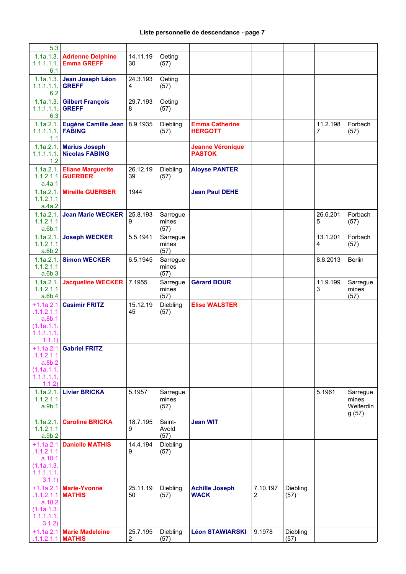| 5.3                                                                       |                                                      |                            |                           |                                          |               |                  |               |                                         |
|---------------------------------------------------------------------------|------------------------------------------------------|----------------------------|---------------------------|------------------------------------------|---------------|------------------|---------------|-----------------------------------------|
| 6.1                                                                       | 1.1a.1.3. Adrienne Delphine<br>1.1.1.1.1. Emma GREFF | 14.11.19<br>30             | Oeting<br>(57)            |                                          |               |                  |               |                                         |
| $1.1.1.1.1.$ GREFF<br>6.2                                                 | 1.1a.1.3. Jean Joseph Léon                           | 24.3.193<br>4              | Oeting<br>(57)            |                                          |               |                  |               |                                         |
| $1.1.1.1.1.$ GREFF<br>6.3                                                 | 1.1a.1.3. Gilbert François                           | 29.7.193<br>8              | Oeting<br>(57)            |                                          |               |                  |               |                                         |
| $1.1.1.1.1.1$ FABING<br>1.1                                               | 1.1a.2.1. Eugène Camille Jean                        | 8.9.1935                   | Diebling<br>(57)          | <b>Emma Catherine</b><br><b>HERGOTT</b>  |               |                  | 11.2.198<br>7 | Forbach<br>(57)                         |
| 1.2                                                                       | 1.1a.2.1. Marius Joseph<br>1.1.1.1.1. Nicolas FABING |                            |                           | <b>Jeanne Véronique</b><br><b>PASTOK</b> |               |                  |               |                                         |
| a.4a.1                                                                    | 1.1a.2.1. Eliane Marguerite<br>1.1.2.1.1 GUERBER     | 26.12.19<br>39             | Diebling<br>(57)          | <b>Aloyse PANTER</b>                     |               |                  |               |                                         |
| 1.1.2.1.1<br>a.4a.2                                                       | 1.1a.2.1. Mireille GUERBER                           | 1944                       |                           | <b>Jean Paul DEHE</b>                    |               |                  |               |                                         |
| 1.1a.2.1.<br>1.1.2.1.1<br>a.6b.1                                          | <b>Jean Marie WECKER</b>                             | 25.8.193<br>9              | Sarregue<br>mines<br>(57) |                                          |               |                  | 26.6.201<br>5 | Forbach<br>(57)                         |
| 1.1.2.1.1<br>a.6b.2                                                       | 1.1a.2.1. Joseph WECKER                              | 5.5.1941                   | Sarregue<br>mines<br>(57) |                                          |               |                  | 13.1.201<br>4 | Forbach<br>(57)                         |
| 1.1.2.1.1<br>a.6b.3                                                       | 1.1a.2.1. Simon WECKER                               | 6.5.1945                   | Sarregue<br>mines<br>(57) |                                          |               |                  | 8.8.2013      | <b>Berlin</b>                           |
| 1.1.2.1.1<br>a.6b.4                                                       | 1.1a.2.1. Jacqueline WECKER                          | 7.1955                     | Sarregue<br>mines<br>(57) | <b>Gérard BOUR</b>                       |               |                  | 11.9.199<br>3 | Sarregue<br>mines<br>(57)               |
| $+1.1a.2.1$<br>.1.1.2.1.1<br>a.8b.1<br>(1.1a.1.1.<br>1.1.1.1.1.<br>1.1.1) | <b>Casimir FRITZ</b>                                 | 15.12.19<br>45             | Diebling<br>(57)          | <b>Elise WALSTER</b>                     |               |                  |               |                                         |
| .1.1.2.1.1<br>a.8b.2<br>(1.1a.1.1.<br>1.1.1.1.1.<br>1.1.2)                | $+1.1a.2.1$ Gabriel FRITZ                            |                            |                           |                                          |               |                  |               |                                         |
| 1.1a.2.1.<br>1.1.2.1.1<br>a.9b.1                                          | <b>Livier BRICKA</b>                                 | 5.1957                     | Sarregue<br>mines<br>(57) |                                          |               |                  | 5.1961        | Sarregue<br>mines<br>Welferdin<br>g(57) |
| 1.1a.2.1.<br>1.1.2.1.1<br>a.9b.2                                          | <b>Caroline BRICKA</b>                               | 18.7.195<br>9              | Saint-<br>Avold<br>(57)   | <b>Jean WIT</b>                          |               |                  |               |                                         |
| .1.1.2.1.1<br>a.10.1<br>(1.1a.1.3.<br>1.1.1.1.1.<br>3.1.1)                | +1.1a.2.1 Danielle MATHIS                            | 14.4.194<br>9              | Diebling<br>(57)          |                                          |               |                  |               |                                         |
| $+1.1a.2.1$<br>.1.1.2.1.1<br>a.10.2<br>(1.1a.1.3.<br>1.1.1.1.1.<br>3.1.2) | <b>Marie-Yvonne</b><br><b>MATHIS</b>                 | 25.11.19<br>50             | Diebling<br>(57)          | <b>Achille Joseph</b><br><b>WACK</b>     | 7.10.197<br>2 | Diebling<br>(57) |               |                                         |
| .1.1.2.1.1                                                                | +1.1a.2.1 Marie Madeleine<br><b>MATHIS</b>           | 25.7.195<br>$\overline{2}$ | Diebling<br>(57)          | <b>Léon STAWIARSKI</b>                   | 9.1978        | Diebling<br>(57) |               |                                         |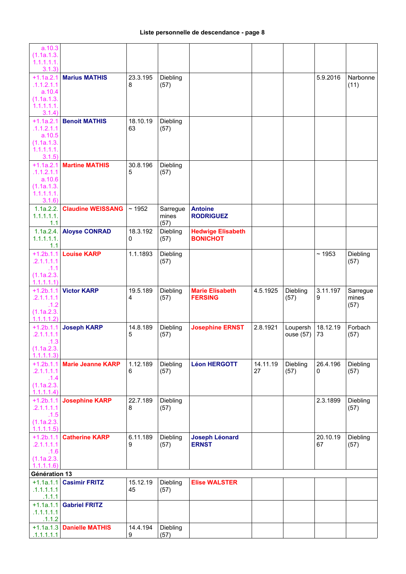| a.10.3<br>(1.1a.1.3.                            |                           |                |                           |                                             |                |                  |                |                           |
|-------------------------------------------------|---------------------------|----------------|---------------------------|---------------------------------------------|----------------|------------------|----------------|---------------------------|
| 1.1.1.1.1.<br>3.1.3)                            |                           |                |                           |                                             |                |                  |                |                           |
| $+1.1a.2.1$<br>.1.1.2.1.1                       | <b>Marius MATHIS</b>      | 23.3.195<br>8  | Diebling<br>(57)          |                                             |                |                  | 5.9.2016       | Narbonne<br>(11)          |
| a.10.4<br>(1.1a.1.3.                            |                           |                |                           |                                             |                |                  |                |                           |
| 1.1.1.1.1.<br>3.1.4)                            |                           |                |                           |                                             |                |                  |                |                           |
| $+1.1a.2.1$<br>.1.1.2.1.1                       | <b>Benoit MATHIS</b>      | 18.10.19<br>63 | Diebling<br>(57)          |                                             |                |                  |                |                           |
| a.10.5<br>(1.1a.1.3.<br>1.1.1.1.1.<br>3.1.5)    |                           |                |                           |                                             |                |                  |                |                           |
| $+1.1a.2.1$<br>.1.1.2.1.1<br>a.10.6             | <b>Martine MATHIS</b>     | 30.8.196<br>5  | Diebling<br>(57)          |                                             |                |                  |                |                           |
| (1.1a.1.3.<br>1.1.1.1.1.<br>3.1.6               |                           |                |                           |                                             |                |                  |                |                           |
| 1.1a.2.2.<br>1.1.1.1.1.<br>1.1                  | <b>Claudine WEISSANG</b>  | ~1952          | Sarregue<br>mines<br>(57) | <b>Antoine</b><br><b>RODRIGUEZ</b>          |                |                  |                |                           |
| 1.1a.2.4.<br>1.1.1.1.1.<br>1.1                  | <b>Aloyse CONRAD</b>      | 18.3.192<br>0  | Diebling<br>(57)          | <b>Hedwige Elisabeth</b><br><b>BONICHOT</b> |                |                  |                |                           |
| $+1.2b.1.1$<br>.2.1.1.1.1                       | <b>Louise KARP</b>        | 1.1.1893       | Diebling<br>(57)          |                                             |                |                  | ~1953          | Diebling<br>(57)          |
| .1.1<br>(1.1a.2.3.<br>1.1.1.1.1                 |                           |                |                           |                                             |                |                  |                |                           |
| $+1.2b.1.1$<br>.2.1.1.1.1<br>.1.2<br>(1.1a.2.3. | <b>Victor KARP</b>        | 19.5.189<br>4  | Diebling<br>(57)          | <b>Marie Elisabeth</b><br><b>FERSING</b>    | 4.5.1925       | Diebling<br>(57) | 3.11.197<br>9  | Sarregue<br>mines<br>(57) |
| 1.1.1.1.2)<br>$+1.2b.1.1$                       | <b>Joseph KARP</b>        | 14.8.189       | Diebling                  | <b>Josephine ERNST</b>                      | 2.8.1921       | Loupersh         | 18.12.19       | Forbach                   |
| .2.1.1.1.1<br>.1.3<br>(1.1a.2.3.                |                           | 5              | (57)                      |                                             |                | ouse (57)        | 73             | (57)                      |
| 1.1.1.1.3)                                      |                           |                |                           |                                             |                |                  |                |                           |
| $+1.2b.1.1$<br>.2.1.1.1.1<br>.1.4               | <b>Marie Jeanne KARP</b>  | 1.12.189<br>6  | Diebling<br>(57)          | <b>Léon HERGOTT</b>                         | 14.11.19<br>27 | Diebling<br>(57) | 26.4.196<br>0  | Diebling<br>(57)          |
| (1.1a.2.3.<br>1.1.1.1.4)                        |                           |                |                           |                                             |                |                  |                |                           |
| $+1.2b.1.1$<br>.2.1.1.1.1<br>.1.5               | <b>Josephine KARP</b>     | 22.7.189<br>8  | Diebling<br>(57)          |                                             |                |                  | 2.3.1899       | Diebling<br>(57)          |
| (1.1a.2.3.<br>1.1.1.1.5                         |                           |                |                           |                                             |                |                  |                |                           |
| $+1.2b.1.1$<br>.2.1.1.1.1<br>.1.6               | <b>Catherine KARP</b>     | 6.11.189<br>9  | Diebling<br>(57)          | <b>Joseph Léonard</b><br><b>ERNST</b>       |                |                  | 20.10.19<br>67 | Diebling<br>(57)          |
| (1.1a.2.3.<br>1.1.1.1.6                         |                           |                |                           |                                             |                |                  |                |                           |
| Génération 13                                   |                           |                |                           |                                             |                |                  |                |                           |
| $+1.1a.1.1$<br>.1.1.1.1.1<br>.1.1.1             | <b>Casimir FRITZ</b>      | 15.12.19<br>45 | Diebling<br>(57)          | <b>Elise WALSTER</b>                        |                |                  |                |                           |
| $+1.1a.1.1$<br>.1.1.1.1.1                       | <b>Gabriel FRITZ</b>      |                |                           |                                             |                |                  |                |                           |
| .1.1.2<br>.1.1.1.1.1                            | +1.1a.1.3 Danielle MATHIS | 14.4.194<br>9  | Diebling<br>(57)          |                                             |                |                  |                |                           |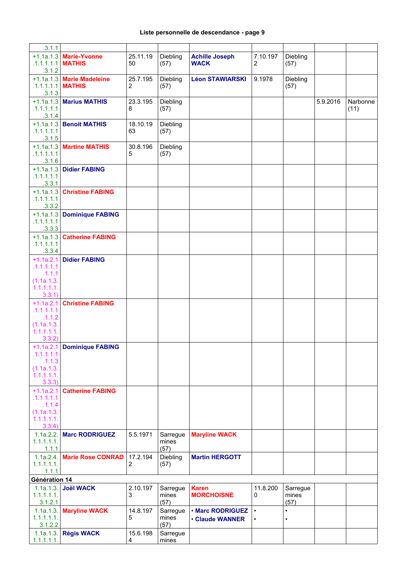| .3.1.1                        |                             |                |                   |                        |           |                   |          |          |
|-------------------------------|-----------------------------|----------------|-------------------|------------------------|-----------|-------------------|----------|----------|
|                               | +1.1a.1.3 Marie-Yvonne      | 25.11.19       | Diebling          | <b>Achille Joseph</b>  | 7.10.197  | Diebling          |          |          |
| $.1.1.1.1.1$ MATHIS<br>.3.1.2 |                             | 50             | (57)              | <b>WACK</b>            | 2         | (57)              |          |          |
|                               | $+1.1a.1.3$ Marie Madeleine | 25.7.195       | Diebling          | <b>Léon STAWIARSKI</b> | 9.1978    | Diebling          |          |          |
| $.1.1.1.1.1$ MATHIS           |                             | $\overline{2}$ | (57)              |                        |           | (57)              |          |          |
| .3.1.3                        |                             |                |                   |                        |           |                   |          |          |
|                               | +1.1a.1.3 Marius MATHIS     | 23.3.195       | Diebling          |                        |           |                   | 5.9.2016 | Narbonne |
| .1.1.1.1.1                    |                             | 8              | (57)              |                        |           |                   |          | (11)     |
| .3.1.4                        |                             |                |                   |                        |           |                   |          |          |
| $+1.1a.1.3$                   | <b>Benoit MATHIS</b>        | 18.10.19       | Diebling          |                        |           |                   |          |          |
| .1.1.1.1.1                    |                             | 63             | (57)              |                        |           |                   |          |          |
| .3.1.5                        |                             |                |                   |                        |           |                   |          |          |
|                               | $+1.1a.1.3$ Martine MATHIS  | 30.8.196       | Diebling          |                        |           |                   |          |          |
| .1.1.1.1.1                    |                             | 5              | (57)              |                        |           |                   |          |          |
| .3.1.6                        | +1.1a.1.3 Didier FABING     |                |                   |                        |           |                   |          |          |
| .1.1.1.1.1                    |                             |                |                   |                        |           |                   |          |          |
| .3.3.1                        |                             |                |                   |                        |           |                   |          |          |
|                               | +1.1a.1.3 Christine FABING  |                |                   |                        |           |                   |          |          |
| .1.1.1.1.1                    |                             |                |                   |                        |           |                   |          |          |
| .3.3.2                        |                             |                |                   |                        |           |                   |          |          |
| $+1.1a.1.3$                   | <b>Dominique FABING</b>     |                |                   |                        |           |                   |          |          |
| .1.1.1.1.1                    |                             |                |                   |                        |           |                   |          |          |
| .3.3.3                        |                             |                |                   |                        |           |                   |          |          |
|                               | +1.1a.1.3 Catherine FABING  |                |                   |                        |           |                   |          |          |
| .1.1.1.1.1<br>.3.3.4          |                             |                |                   |                        |           |                   |          |          |
| $+1.1a.2.1$                   | <b>Didier FABING</b>        |                |                   |                        |           |                   |          |          |
| .1.1.1.1.1                    |                             |                |                   |                        |           |                   |          |          |
| .1.1.1                        |                             |                |                   |                        |           |                   |          |          |
| (1.1a.1.3.                    |                             |                |                   |                        |           |                   |          |          |
| 1.1.1.1.1.                    |                             |                |                   |                        |           |                   |          |          |
| 3.3.1)                        |                             |                |                   |                        |           |                   |          |          |
| $+1.1a.2.1$                   | <b>Christine FABING</b>     |                |                   |                        |           |                   |          |          |
| .1.1.1.1.1<br>.1.1.2          |                             |                |                   |                        |           |                   |          |          |
| (1.1a.1.3.                    |                             |                |                   |                        |           |                   |          |          |
| 1.1.1.1.1.                    |                             |                |                   |                        |           |                   |          |          |
| 3.3.2)                        |                             |                |                   |                        |           |                   |          |          |
|                               | +1.1a.2.1 Dominique FABING  |                |                   |                        |           |                   |          |          |
| .1.1.1.1.1                    |                             |                |                   |                        |           |                   |          |          |
| .1.1.3                        |                             |                |                   |                        |           |                   |          |          |
| (1.1a.1.3.<br>1.1.1.1.1.      |                             |                |                   |                        |           |                   |          |          |
| 3.3.3)                        |                             |                |                   |                        |           |                   |          |          |
| $+1.1a.2.1$                   | <b>Catherine FABING</b>     |                |                   |                        |           |                   |          |          |
| .1.1.1.1.1                    |                             |                |                   |                        |           |                   |          |          |
| .1.1.4                        |                             |                |                   |                        |           |                   |          |          |
| (1.1a.1.3.                    |                             |                |                   |                        |           |                   |          |          |
| 1.1.1.1.1.<br>3.3.4)          |                             |                |                   |                        |           |                   |          |          |
| 1.1a.2.2.                     | <b>Marc RODRIGUEZ</b>       | 5.5.1971       | Sarregue          | <b>Maryline WACK</b>   |           |                   |          |          |
| 1.1.1.1.1.1.                  |                             |                | mines             |                        |           |                   |          |          |
| 1.1.1                         |                             |                | (57)              |                        |           |                   |          |          |
|                               | 1.1a.2.4. Marie Rose CONRAD | 17.2.194       | Diebling          | <b>Martin HERGOTT</b>  |           |                   |          |          |
| 1.1.1.1.1.                    |                             | 2              | (57)              |                        |           |                   |          |          |
| 1.1.1                         |                             |                |                   |                        |           |                   |          |          |
| Génération 14                 |                             |                |                   |                        |           |                   |          |          |
| 1.1a.1.3.                     | <b>Joël WACK</b>            | 2.10.197       | Sarregue          | <b>Karen</b>           | 11.8.200  | Sarregue          |          |          |
| 1.1.1.1.1.1.<br>3.1.2.1       |                             | 3              | mines             | <b>MORCHOISNE</b>      | 0         | mines             |          |          |
|                               | 1.1a.1.3.   Maryline WACK   | 14.8.197       | (57)              | . Marc RODRIGUEZ       | $\bullet$ | (57)<br>$\bullet$ |          |          |
| 1.1.1.1.1.                    |                             | 5              | Sarregue<br>mines |                        |           | $\bullet$         |          |          |
| 3.1.2.2                       |                             |                | (57)              | <b>Claude WANNER</b>   |           |                   |          |          |
|                               | 1.1a.1.3. Régis WACK        | 15.6.198       | Sarregue          |                        |           |                   |          |          |
| 1.1.1.1.1.                    |                             | 4              | mines             |                        |           |                   |          |          |